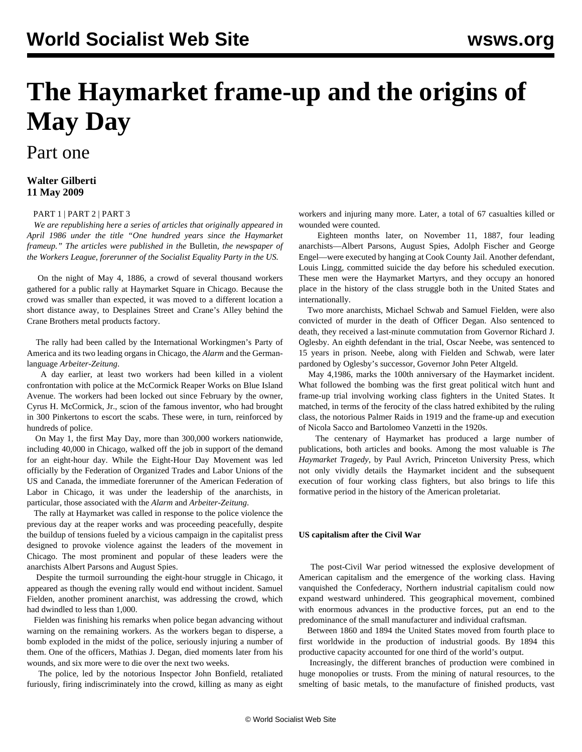# **The Haymarket frame-up and the origins of May Day**

## Part one

### **Walter Gilberti 11 May 2009**

#### [PART 1](/en/articles/2009/05/hay1-m11.html) | [PART 2](/en/articles/2009/05/hay2-m12.html) | [PART 3](/en/articles/2009/05/hay3-m13.html)

 *We are republishing here a series of articles that originally appeared in April 1986 under the title "One hundred years since the Haymarket frameup." The articles were published in the* Bulletin*, the newspaper of the Workers League, forerunner of the Socialist Equality Party in the US.*

 On the night of May 4, 1886, a crowd of several thousand workers gathered for a public rally at Haymarket Square in Chicago. Because the crowd was smaller than expected, it was moved to a different location a short distance away, to Desplaines Street and Crane's Alley behind the Crane Brothers metal products factory.

 The rally had been called by the International Workingmen's Party of America and its two leading organs in Chicago, the *Alarm* and the Germanlanguage *Arbeiter-Zeitung*.

 A day earlier, at least two workers had been killed in a violent confrontation with police at the McCormick Reaper Works on Blue Island Avenue. The workers had been locked out since February by the owner, Cyrus H. McCormick, Jr., scion of the famous inventor, who had brought in 300 Pinkertons to escort the scabs. These were, in turn, reinforced by hundreds of police.

 On May 1, the first May Day, more than 300,000 workers nationwide, including 40,000 in Chicago, walked off the job in support of the demand for an eight-hour day. While the Eight-Hour Day Movement was led officially by the Federation of Organized Trades and Labor Unions of the US and Canada, the immediate forerunner of the American Federation of Labor in Chicago, it was under the leadership of the anarchists, in particular, those associated with the *Alarm* and *Arbeiter-Zeitung*.

 The rally at Haymarket was called in response to the police violence the previous day at the reaper works and was proceeding peacefully, despite the buildup of tensions fueled by a vicious campaign in the capitalist press designed to provoke violence against the leaders of the movement in Chicago. The most prominent and popular of these leaders were the anarchists Albert Parsons and August Spies.

 Despite the turmoil surrounding the eight-hour struggle in Chicago, it appeared as though the evening rally would end without incident. Samuel Fielden, another prominent anarchist, was addressing the crowd, which had dwindled to less than 1,000.

 Fielden was finishing his remarks when police began advancing without warning on the remaining workers. As the workers began to disperse, a bomb exploded in the midst of the police, seriously injuring a number of them. One of the officers, Mathias J. Degan, died moments later from his wounds, and six more were to die over the next two weeks.

 The police, led by the notorious Inspector John Bonfield, retaliated furiously, firing indiscriminately into the crowd, killing as many as eight workers and injuring many more. Later, a total of 67 casualties killed or wounded were counted.

 Eighteen months later, on November 11, 1887, four leading anarchists—Albert Parsons, August Spies, Adolph Fischer and George Engel—were executed by hanging at Cook County Jail. Another defendant, Louis Lingg, committed suicide the day before his scheduled execution. These men were the Haymarket Martyrs, and they occupy an honored place in the history of the class struggle both in the United States and internationally.

 Two more anarchists, Michael Schwab and Samuel Fielden, were also convicted of murder in the death of Officer Degan. Also sentenced to death, they received a last-minute commutation from Governor Richard J. Oglesby. An eighth defendant in the trial, Oscar Neebe, was sentenced to 15 years in prison. Neebe, along with Fielden and Schwab, were later pardoned by Oglesby's successor, Governor John Peter Altgeld.

 May 4,1986, marks the 100th anniversary of the Haymarket incident. What followed the bombing was the first great political witch hunt and frame-up trial involving working class fighters in the United States. It matched, in terms of the ferocity of the class hatred exhibited by the ruling class, the notorious Palmer Raids in 1919 and the frame-up and execution of Nicola Sacco and Bartolomeo Vanzetti in the 1920s.

 The centenary of Haymarket has produced a large number of publications, both articles and books. Among the most valuable is *The Haymarket Tragedy*, by Paul Avrich, Princeton University Press, which not only vividly details the Haymarket incident and the subsequent execution of four working class fighters, but also brings to life this formative period in the history of the American proletariat.

#### **US capitalism after the Civil War**

 The post-Civil War period witnessed the explosive development of American capitalism and the emergence of the working class. Having vanquished the Confederacy, Northern industrial capitalism could now expand westward unhindered. This geographical movement, combined with enormous advances in the productive forces, put an end to the predominance of the small manufacturer and individual craftsman.

 Between 1860 and 1894 the United States moved from fourth place to first worldwide in the production of industrial goods. By 1894 this productive capacity accounted for one third of the world's output.

 Increasingly, the different branches of production were combined in huge monopolies or trusts. From the mining of natural resources, to the smelting of basic metals, to the manufacture of finished products, vast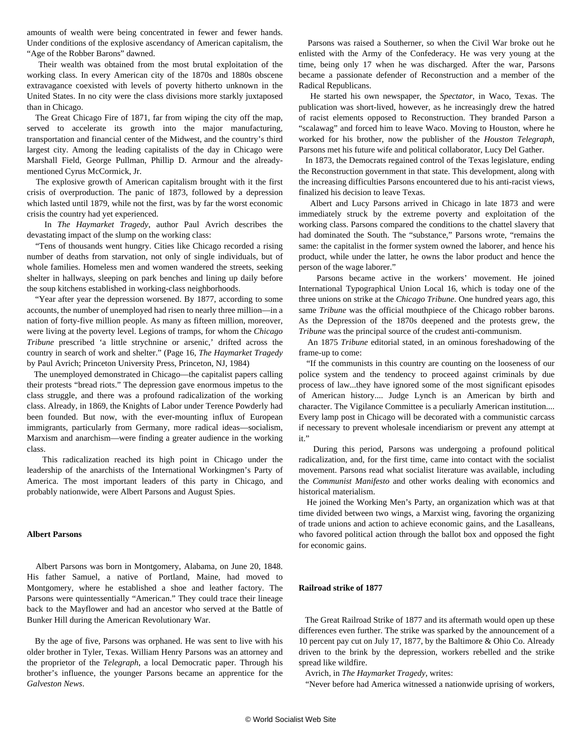amounts of wealth were being concentrated in fewer and fewer hands. Under conditions of the explosive ascendancy of American capitalism, the "Age of the Robber Barons" dawned.

 Their wealth was obtained from the most brutal exploitation of the working class. In every American city of the 1870s and 1880s obscene extravagance coexisted with levels of poverty hitherto unknown in the United States. In no city were the class divisions more starkly juxtaposed than in Chicago.

 The Great Chicago Fire of 1871, far from wiping the city off the map, served to accelerate its growth into the major manufacturing, transportation and financial center of the Midwest, and the country's third largest city. Among the leading capitalists of the day in Chicago were Marshall Field, George Pullman, Phillip D. Armour and the alreadymentioned Cyrus McCormick, Jr.

 The explosive growth of American capitalism brought with it the first crisis of overproduction. The panic of 1873, followed by a depression which lasted until 1879, while not the first, was by far the worst economic crisis the country had yet experienced.

 In *The Haymarket Tragedy*, author Paul Avrich describes the devastating impact of the slump on the working class:

 "Tens of thousands went hungry. Cities like Chicago recorded a rising number of deaths from starvation, not only of single individuals, but of whole families. Homeless men and women wandered the streets, seeking shelter in hallways, sleeping on park benches and lining up daily before the soup kitchens established in working-class neighborhoods.

 "Year after year the depression worsened. By 1877, according to some accounts, the number of unemployed had risen to nearly three million—in a nation of forty-five million people. As many as fifteen million, moreover, were living at the poverty level. Legions of tramps, for whom the *Chicago Tribune* prescribed 'a little strychnine or arsenic,' drifted across the country in search of work and shelter." (Page 16, *The Haymarket Tragedy* by Paul Avrich; Princeton University Press, Princeton, NJ, 1984)

 The unemployed demonstrated in Chicago—the capitalist papers calling their protests "bread riots." The depression gave enormous impetus to the class struggle, and there was a profound radicalization of the working class. Already, in 1869, the Knights of Labor under Terence Powderly had been founded. But now, with the ever-mounting influx of European immigrants, particularly from Germany, more radical ideas—socialism, Marxism and anarchism—were finding a greater audience in the working class.

 This radicalization reached its high point in Chicago under the leadership of the anarchists of the International Workingmen's Party of America. The most important leaders of this party in Chicago, and probably nationwide, were Albert Parsons and August Spies.

#### **Albert Parsons**

 Albert Parsons was born in Montgomery, Alabama, on June 20, 1848. His father Samuel, a native of Portland, Maine, had moved to Montgomery, where he established a shoe and leather factory. The Parsons were quintessentially "American." They could trace their lineage back to the Mayflower and had an ancestor who served at the Battle of Bunker Hill during the American Revolutionary War.

 By the age of five, Parsons was orphaned. He was sent to live with his older brother in Tyler, Texas. William Henry Parsons was an attorney and the proprietor of the *Telegraph*, a local Democratic paper. Through his brother's influence, the younger Parsons became an apprentice for the *Galveston News*.

 Parsons was raised a Southerner, so when the Civil War broke out he enlisted with the Army of the Confederacy. He was very young at the time, being only 17 when he was discharged. After the war, Parsons became a passionate defender of Reconstruction and a member of the Radical Republicans.

 He started his own newspaper, the *Spectator*, in Waco, Texas. The publication was short-lived, however, as he increasingly drew the hatred of racist elements opposed to Reconstruction. They branded Parson a "scalawag" and forced him to leave Waco. Moving to Houston, where he worked for his brother, now the publisher of the *Houston Telegraph*, Parsons met his future wife and political collaborator, Lucy Del Gather.

 In 1873, the Democrats regained control of the Texas legislature, ending the Reconstruction government in that state. This development, along with the increasing difficulties Parsons encountered due to his anti-racist views, finalized his decision to leave Texas.

 Albert and Lucy Parsons arrived in Chicago in late 1873 and were immediately struck by the extreme poverty and exploitation of the working class. Parsons compared the conditions to the chattel slavery that had dominated the South. The "substance," Parsons wrote, "remains the same: the capitalist in the former system owned the laborer, and hence his product, while under the latter, he owns the labor product and hence the person of the wage laborer."

 Parsons became active in the workers' movement. He joined International Typographical Union Local 16, which is today one of the three unions on strike at the *Chicago Tribune*. One hundred years ago, this same *Tribune* was the official mouthpiece of the Chicago robber barons. As the Depression of the 1870s deepened and the protests grew, the *Tribune* was the principal source of the crudest anti-communism.

 An 1875 *Tribune* editorial stated, in an ominous foreshadowing of the frame-up to come:

 "If the communists in this country are counting on the looseness of our police system and the tendency to proceed against criminals by due process of law...they have ignored some of the most significant episodes of American history.... Judge Lynch is an American by birth and character. The Vigilance Committee is a peculiarly American institution.... Every lamp post in Chicago will be decorated with a communistic carcass if necessary to prevent wholesale incendiarism or prevent any attempt at it."

 During this period, Parsons was undergoing a profound political radicalization, and, for the first time, came into contact with the socialist movement. Parsons read what socialist literature was available, including the *Communist Manifesto* and other works dealing with economics and historical materialism.

 He joined the Working Men's Party, an organization which was at that time divided between two wings, a Marxist wing, favoring the organizing of trade unions and action to achieve economic gains, and the Lasalleans, who favored political action through the ballot box and opposed the fight for economic gains.

#### **Railroad strike of 1877**

 The Great Railroad Strike of 1877 and its aftermath would open up these differences even further. The strike was sparked by the announcement of a 10 percent pay cut on July 17, 1877, by the Baltimore & Ohio Co. Already driven to the brink by the depression, workers rebelled and the strike spread like wildfire.

Avrich, in *The Haymarket Tragedy*, writes:

"Never before had America witnessed a nationwide uprising of workers,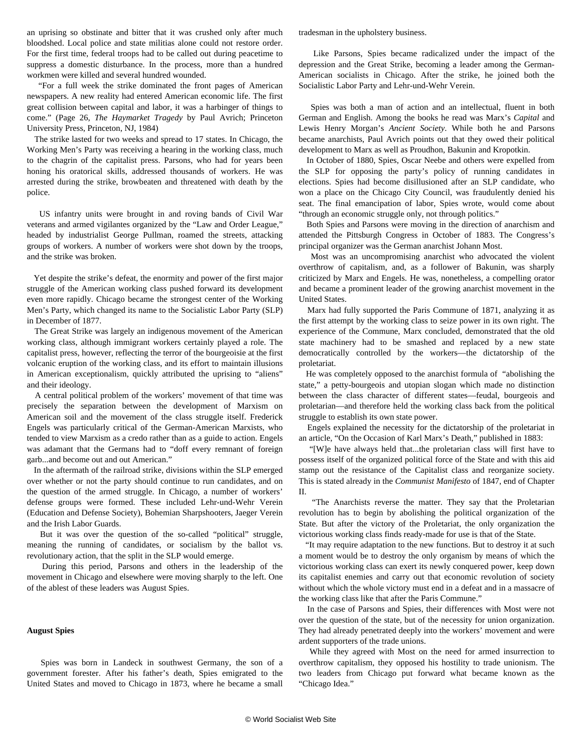an uprising so obstinate and bitter that it was crushed only after much bloodshed. Local police and state militias alone could not restore order. For the first time, federal troops had to be called out during peacetime to suppress a domestic disturbance. In the process, more than a hundred workmen were killed and several hundred wounded.

 "For a full week the strike dominated the front pages of American newspapers. A new reality had entered American economic life. The first great collision between capital and labor, it was a harbinger of things to come." (Page 26, *The Haymarket Tragedy* by Paul Avrich; Princeton University Press, Princeton, NJ, 1984)

 The strike lasted for two weeks and spread to 17 states. In Chicago, the Working Men's Party was receiving a hearing in the working class, much to the chagrin of the capitalist press. Parsons, who had for years been honing his oratorical skills, addressed thousands of workers. He was arrested during the strike, browbeaten and threatened with death by the police.

 US infantry units were brought in and roving bands of Civil War veterans and armed vigilantes organized by the "Law and Order League," headed by industrialist George Pullman, roamed the streets, attacking groups of workers. A number of workers were shot down by the troops, and the strike was broken.

 Yet despite the strike's defeat, the enormity and power of the first major struggle of the American working class pushed forward its development even more rapidly. Chicago became the strongest center of the Working Men's Party, which changed its name to the Socialistic Labor Party (SLP) in December of 1877.

 The Great Strike was largely an indigenous movement of the American working class, although immigrant workers certainly played a role. The capitalist press, however, reflecting the terror of the bourgeoisie at the first volcanic eruption of the working class, and its effort to maintain illusions in American exceptionalism, quickly attributed the uprising to "aliens" and their ideology.

 A central political problem of the workers' movement of that time was precisely the separation between the development of Marxism on American soil and the movement of the class struggle itself. Frederick Engels was particularly critical of the German-American Marxists, who tended to view Marxism as a credo rather than as a guide to action. Engels was adamant that the Germans had to "doff every remnant of foreign garb...and become out and out American."

 In the aftermath of the railroad strike, divisions within the SLP emerged over whether or not the party should continue to run candidates, and on the question of the armed struggle. In Chicago, a number of workers' defense groups were formed. These included Lehr-und-Wehr Verein (Education and Defense Society), Bohemian Sharpshooters, Jaeger Verein and the Irish Labor Guards.

 But it was over the question of the so-called "political" struggle, meaning the running of candidates, or socialism by the ballot vs. revolutionary action, that the split in the SLP would emerge.

 During this period, Parsons and others in the leadership of the movement in Chicago and elsewhere were moving sharply to the left. One of the ablest of these leaders was August Spies.

#### **August Spies**

 Spies was born in Landeck in southwest Germany, the son of a government forester. After his father's death, Spies emigrated to the United States and moved to Chicago in 1873, where he became a small

tradesman in the upholstery business.

 Like Parsons, Spies became radicalized under the impact of the depression and the Great Strike, becoming a leader among the German-American socialists in Chicago. After the strike, he joined both the Socialistic Labor Party and Lehr-und-Wehr Verein.

 Spies was both a man of action and an intellectual, fluent in both German and English. Among the books he read was Marx's *Capital* and Lewis Henry Morgan's *Ancient Society*. While both he and Parsons became anarchists, Paul Avrich points out that they owed their political development to Marx as well as Proudhon, Bakunin and Kropotkin.

 In October of 1880, Spies, Oscar Neebe and others were expelled from the SLP for opposing the party's policy of running candidates in elections. Spies had become disillusioned after an SLP candidate, who won a place on the Chicago City Council, was fraudulently denied his seat. The final emancipation of labor, Spies wrote, would come about "through an economic struggle only, not through politics."

 Both Spies and Parsons were moving in the direction of anarchism and attended the Pittsburgh Congress in October of 1883. The Congress's principal organizer was the German anarchist Johann Most.

 Most was an uncompromising anarchist who advocated the violent overthrow of capitalism, and, as a follower of Bakunin, was sharply criticized by Marx and Engels. He was, nonetheless, a compelling orator and became a prominent leader of the growing anarchist movement in the United States.

 Marx had fully supported the Paris Commune of 1871, analyzing it as the first attempt by the working class to seize power in its own right. The experience of the Commune, Marx concluded, demonstrated that the old state machinery had to be smashed and replaced by a new state democratically controlled by the workers—the dictatorship of the proletariat.

 He was completely opposed to the anarchist formula of "abolishing the state," a petty-bourgeois and utopian slogan which made no distinction between the class character of different states—feudal, bourgeois and proletarian—and therefore held the working class back from the political struggle to establish its own state power.

 Engels explained the necessity for the dictatorship of the proletariat in an article, "On the Occasion of Karl Marx's Death," published in 1883:

 "[W]e have always held that...the proletarian class will first have to possess itself of the organized political force of the State and with this aid stamp out the resistance of the Capitalist class and reorganize society. This is stated already in the *Communist Manifesto* of 1847, end of Chapter II.

 "The Anarchists reverse the matter. They say that the Proletarian revolution has to begin by abolishing the political organization of the State. But after the victory of the Proletariat, the only organization the victorious working class finds ready-made for use is that of the State.

 "It may require adaptation to the new functions. But to destroy it at such a moment would be to destroy the only organism by means of which the victorious working class can exert its newly conquered power, keep down its capitalist enemies and carry out that economic revolution of society without which the whole victory must end in a defeat and in a massacre of the working class like that after the Paris Commune."

 In the case of Parsons and Spies, their differences with Most were not over the question of the state, but of the necessity for union organization. They had already penetrated deeply into the workers' movement and were ardent supporters of the trade unions.

 While they agreed with Most on the need for armed insurrection to overthrow capitalism, they opposed his hostility to trade unionism. The two leaders from Chicago put forward what became known as the "Chicago Idea."